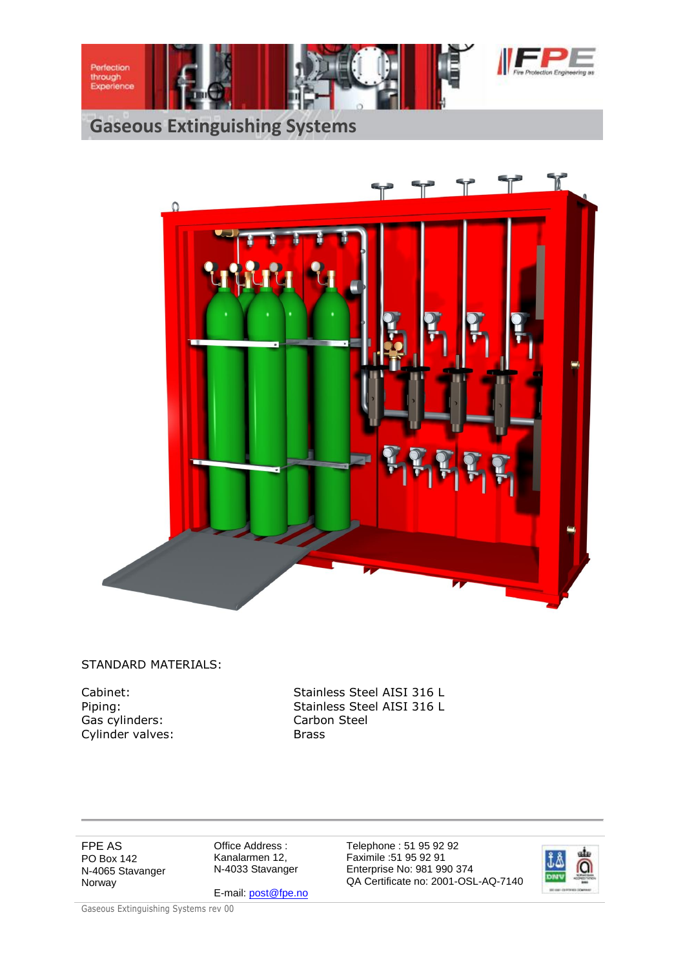



#### STANDARD MATERIALS:

Gas cylinders: Carbon Steel Cylinder valves: Brass

Cabinet: Stainless Steel AISI 316 L Piping: Stainless Steel AISI 316 L

FPE AS PO Box 142 N-4065 Stavanger Norway

Office Address : Kanalarmen 12, N-4033 Stavanger

E-mail: post@fpe.no

Telephone : 51 95 92 92 Faximile :51 95 92 91 Enterprise No: 981 990 374 QA Certificate no: 2001-OSL-AQ-7140

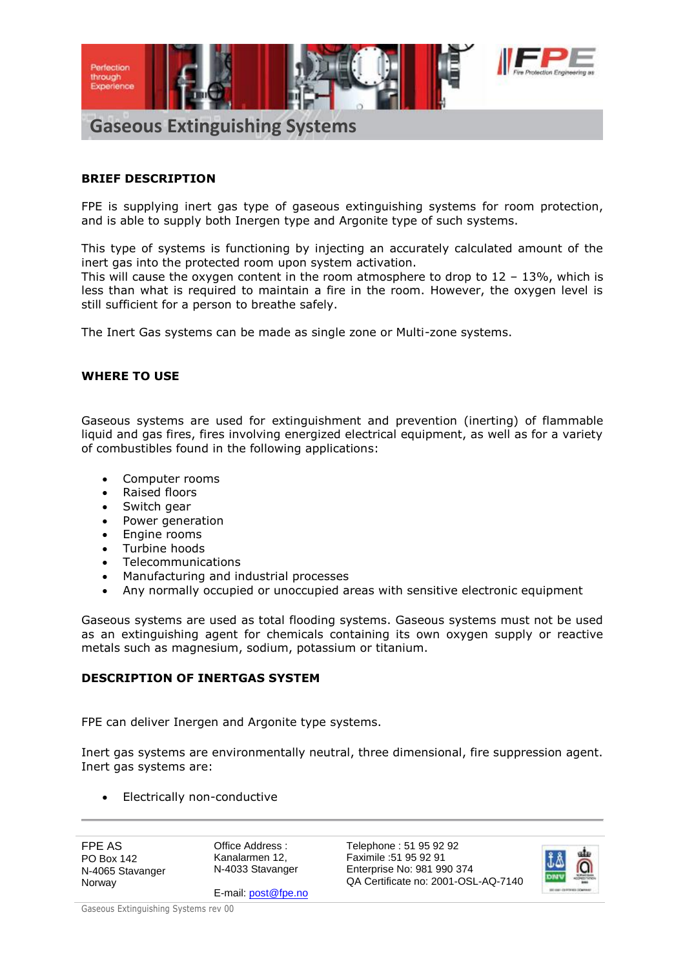

#### **BRIEF DESCRIPTION**

FPE is supplying inert gas type of gaseous extinguishing systems for room protection, and is able to supply both Inergen type and Argonite type of such systems.

This type of systems is functioning by injecting an accurately calculated amount of the inert gas into the protected room upon system activation.

This will cause the oxygen content in the room atmosphere to drop to  $12 - 13\%$ , which is less than what is required to maintain a fire in the room. However, the oxygen level is still sufficient for a person to breathe safely.

The Inert Gas systems can be made as single zone or Multi-zone systems.

#### **WHERE TO USE**

Gaseous systems are used for extinguishment and prevention (inerting) of flammable liquid and gas fires, fires involving energized electrical equipment, as well as for a variety of combustibles found in the following applications:

- Computer rooms
- Raised floors
- Switch gear
- Power generation
- Engine rooms<br>• Turbine hoods
- Turbine hoods
- Telecommunications
- Manufacturing and industrial processes
- Any normally occupied or unoccupied areas with sensitive electronic equipment

Gaseous systems are used as total flooding systems. Gaseous systems must not be used as an extinguishing agent for chemicals containing its own oxygen supply or reactive metals such as magnesium, sodium, potassium or titanium.

#### **DESCRIPTION OF INERTGAS SYSTEM**

FPE can deliver Inergen and Argonite type systems.

Inert gas systems are environmentally neutral, three dimensional, fire suppression agent. Inert gas systems are:

Electrically non-conductive

FPE AS PO Box 142 N-4065 Stavanger Norway

Office Address : Kanalarmen 12, N-4033 Stavanger

E-mail: post@fpe.no

Telephone : 51 95 92 92 Faximile :51 95 92 91 Enterprise No: 981 990 374 QA Certificate no: 2001-OSL-AQ-7140

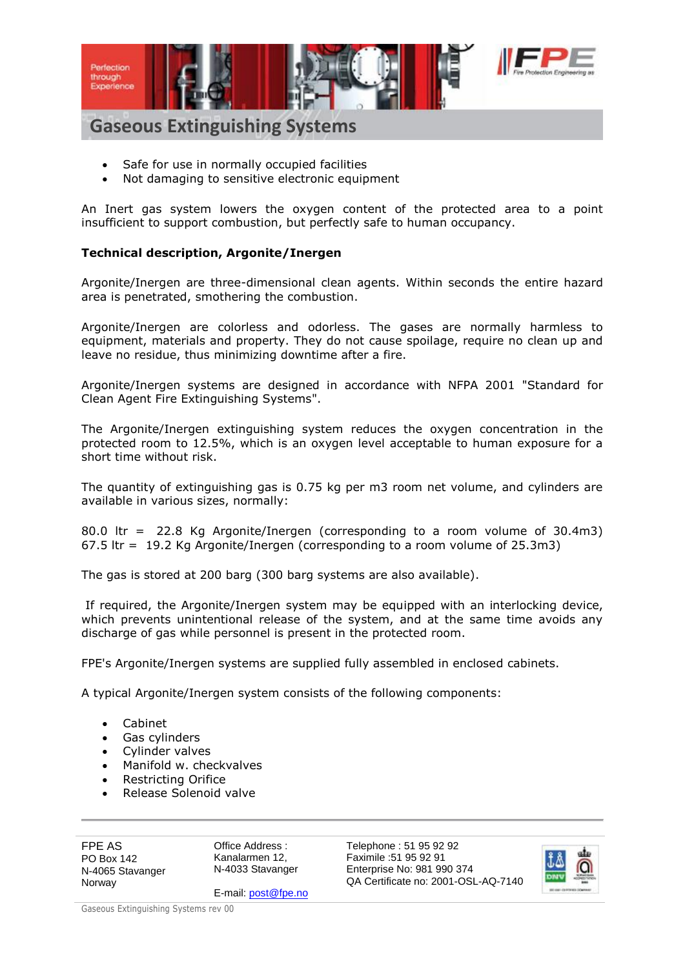

## **Gaseous Extinguishing Systems**

- Safe for use in normally occupied facilities
- Not damaging to sensitive electronic equipment

An Inert gas system lowers the oxygen content of the protected area to a point insufficient to support combustion, but perfectly safe to human occupancy.

#### **Technical description, Argonite/Inergen**

Argonite/Inergen are three-dimensional clean agents. Within seconds the entire hazard area is penetrated, smothering the combustion.

Argonite/Inergen are colorless and odorless. The gases are normally harmless to equipment, materials and property. They do not cause spoilage, require no clean up and leave no residue, thus minimizing downtime after a fire.

Argonite/Inergen systems are designed in accordance with NFPA 2001 "Standard for Clean Agent Fire Extinguishing Systems".

The Argonite/Inergen extinguishing system reduces the oxygen concentration in the protected room to 12.5%, which is an oxygen level acceptable to human exposure for a short time without risk.

The quantity of extinguishing gas is 0.75 kg per m3 room net volume, and cylinders are available in various sizes, normally:

80.0 ltr = 22.8 Kg Argonite/Inergen (corresponding to a room volume of 30.4m3) 67.5 ltr = 19.2 Kg Argonite/Inergen (corresponding to a room volume of 25.3m3)

The gas is stored at 200 barg (300 barg systems are also available).

If required, the Argonite/Inergen system may be equipped with an interlocking device, which prevents unintentional release of the system, and at the same time avoids any discharge of gas while personnel is present in the protected room.

FPE's Argonite/Inergen systems are supplied fully assembled in enclosed cabinets.

A typical Argonite/Inergen system consists of the following components:

- Cabinet
- Gas cylinders
- Cylinder valves
- Manifold w. checkvalves
- Restricting Orifice
- Release Solenoid valve

FPE AS PO Box 142 N-4065 Stavanger Norway

Office Address : Kanalarmen 12, N-4033 Stavanger

E-mail: post@fpe.no

Telephone : 51 95 92 92 Faximile :51 95 92 91 Enterprise No: 981 990 374 QA Certificate no: 2001-OSL-AQ-7140

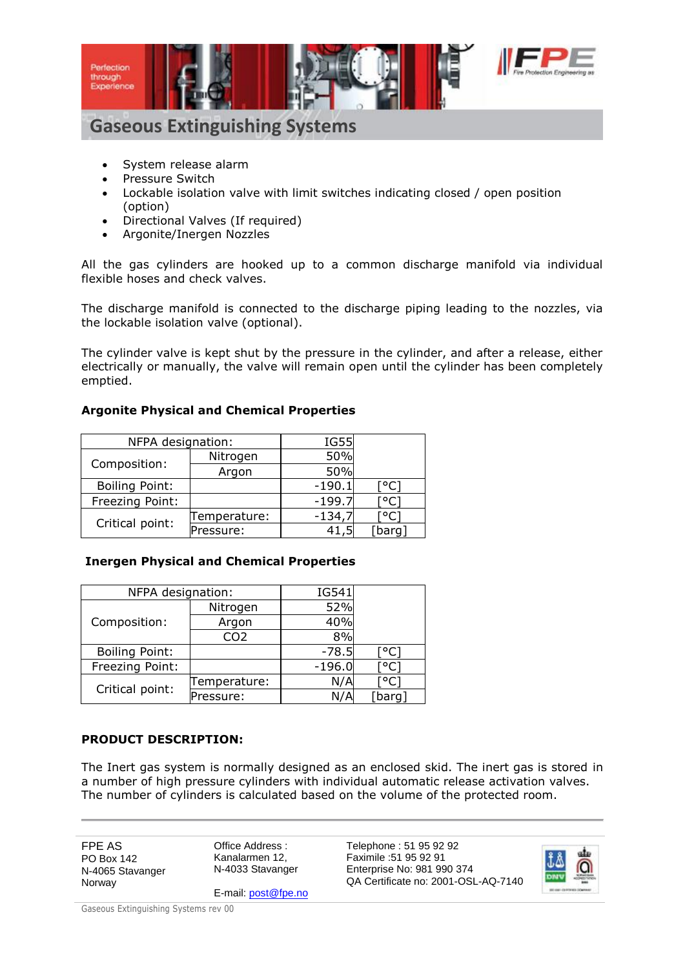

## **Gaseous Extinguishing Systems**

- System release alarm
- Pressure Switch
- Lockable isolation valve with limit switches indicating closed / open position (option)
- Directional Valves (If required)
- Argonite/Inergen Nozzles

All the gas cylinders are hooked up to a common discharge manifold via individual flexible hoses and check valves.

The discharge manifold is connected to the discharge piping leading to the nozzles, via the lockable isolation valve (optional).

The cylinder valve is kept shut by the pressure in the cylinder, and after a release, either electrically or manually, the valve will remain open until the cylinder has been completely emptied.

### **Argonite Physical and Chemical Properties**

| NFPA designation:     |              | IG55     |        |
|-----------------------|--------------|----------|--------|
| Composition:          | Nitrogen     | 50%      |        |
|                       | Argon        | 50%      |        |
| <b>Boiling Point:</b> |              | $-190.1$ |        |
| Freezing Point:       |              | $-199.7$ |        |
| Critical point:       | Temperature: | $-134,7$ |        |
|                       | Pressure:    |          | [barq] |

## **Inergen Physical and Chemical Properties**

| NFPA designation:     |              | IG541    |        |  |
|-----------------------|--------------|----------|--------|--|
| Composition:          | Nitrogen     | 52%      |        |  |
|                       | Argon        | 40%      |        |  |
|                       | CO2          | 8%       |        |  |
| <b>Boiling Point:</b> |              | $-78.5$  |        |  |
| Freezing Point:       |              | $-196.0$ | [°C]   |  |
| Critical point:       | Temperature: | N/A      |        |  |
|                       | Pressure:    | N/A      | [barq] |  |

## **PRODUCT DESCRIPTION:**

The Inert gas system is normally designed as an enclosed skid. The inert gas is stored in a number of high pressure cylinders with individual automatic release activation valves. The number of cylinders is calculated based on the volume of the protected room.

FPE AS PO Box 142 N-4065 Stavanger Norway

Office Address : Kanalarmen 12, N-4033 Stavanger

E-mail: post@fpe.no Faximile :51 95 92 91 Enterprise No: 981 990 374 QA Certificate no: 2001-OSL-AQ-7140

Telephone : 51 95 92 92

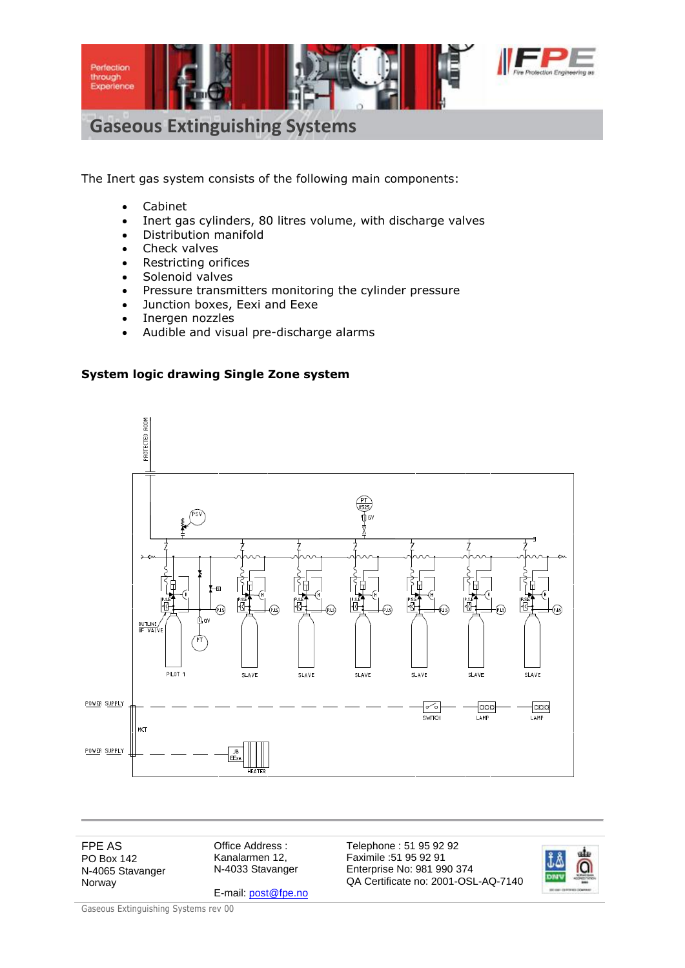

# **Gaseous Extinguishing Systems**

The Inert gas system consists of the following main components:

- Cabinet
- Inert gas cylinders, 80 litres volume, with discharge valves
- Distribution manifold
- Check valves
- Restricting orifices
- Solenoid valves
- Pressure transmitters monitoring the cylinder pressure
- Junction boxes, Eexi and Eexe
- Inergen nozzles
- Audible and visual pre-discharge alarms

#### **System logic drawing Single Zone system**



FPE AS PO Box 142 N-4065 Stavanger Norway

Office Address : Kanalarmen 12, N-4033 Stavanger

E-mail: post@fpe.no

Telephone : 51 95 92 92 Faximile :51 95 92 91 Enterprise No: 981 990 374 QA Certificate no: 2001-OSL-AQ-7140